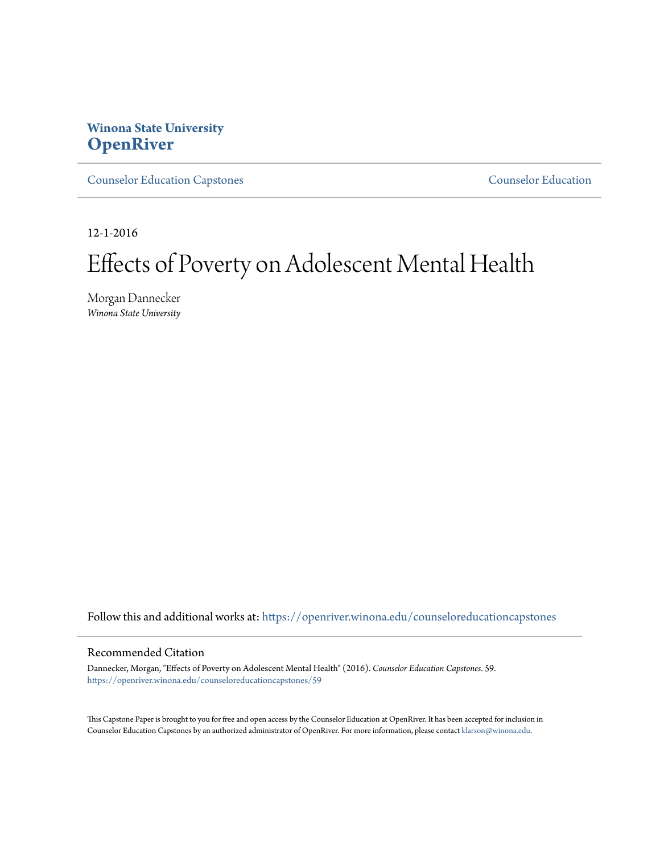## **Winona State University [OpenRiver](https://openriver.winona.edu?utm_source=openriver.winona.edu%2Fcounseloreducationcapstones%2F59&utm_medium=PDF&utm_campaign=PDFCoverPages)**

[Counselor Education Capstones](https://openriver.winona.edu/counseloreducationcapstones?utm_source=openriver.winona.edu%2Fcounseloreducationcapstones%2F59&utm_medium=PDF&utm_campaign=PDFCoverPages) [Counselor Education](https://openriver.winona.edu/counseloreducation?utm_source=openriver.winona.edu%2Fcounseloreducationcapstones%2F59&utm_medium=PDF&utm_campaign=PDFCoverPages)

12-1-2016

# Effects of Poverty on Adolescent Mental Health

Morgan Dannecker *Winona State University*

Follow this and additional works at: [https://openriver.winona.edu/counseloreducationcapstones](https://openriver.winona.edu/counseloreducationcapstones?utm_source=openriver.winona.edu%2Fcounseloreducationcapstones%2F59&utm_medium=PDF&utm_campaign=PDFCoverPages)

#### Recommended Citation

Dannecker, Morgan, "Effects of Poverty on Adolescent Mental Health" (2016). *Counselor Education Capstones*. 59. [https://openriver.winona.edu/counseloreducationcapstones/59](https://openriver.winona.edu/counseloreducationcapstones/59?utm_source=openriver.winona.edu%2Fcounseloreducationcapstones%2F59&utm_medium=PDF&utm_campaign=PDFCoverPages)

This Capstone Paper is brought to you for free and open access by the Counselor Education at OpenRiver. It has been accepted for inclusion in Counselor Education Capstones by an authorized administrator of OpenRiver. For more information, please contact [klarson@winona.edu](mailto:klarson@winona.edu).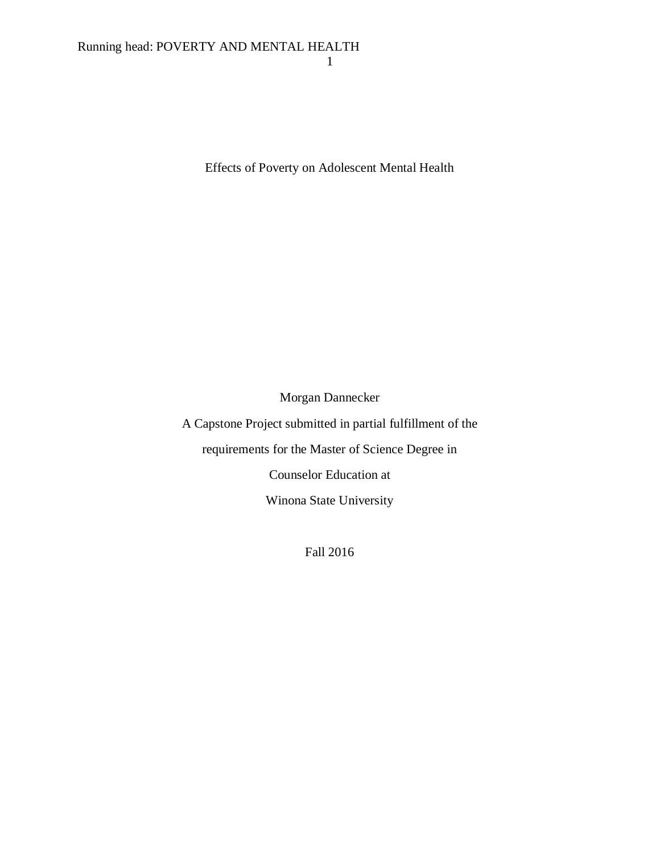Effects of Poverty on Adolescent Mental Health

Morgan Dannecker

A Capstone Project submitted in partial fulfillment of the requirements for the Master of Science Degree in Counselor Education at

Winona State University

Fall 2016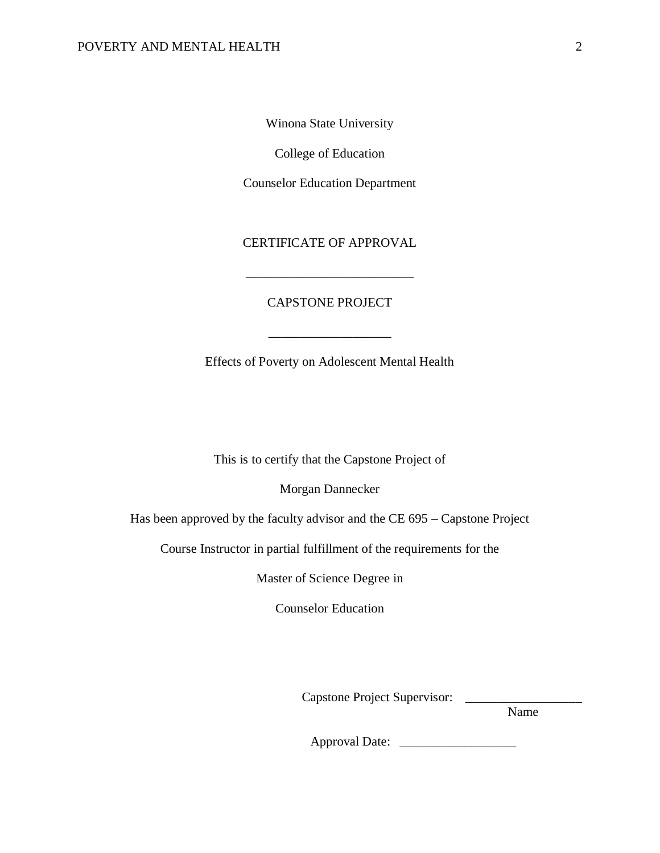Winona State University

College of Education

Counselor Education Department

CERTIFICATE OF APPROVAL

\_\_\_\_\_\_\_\_\_\_\_\_\_\_\_\_\_\_\_\_\_\_\_\_\_\_

### CAPSTONE PROJECT

Effects of Poverty on Adolescent Mental Health

\_\_\_\_\_\_\_\_\_\_\_\_\_\_\_\_\_\_\_

This is to certify that the Capstone Project of

Morgan Dannecker

Has been approved by the faculty advisor and the CE 695 – Capstone Project

Course Instructor in partial fulfillment of the requirements for the

Master of Science Degree in

Counselor Education

Capstone Project Supervisor: \_\_\_\_\_\_\_

Name

Approval Date: \_\_\_\_\_\_\_\_\_\_\_\_\_\_\_\_\_\_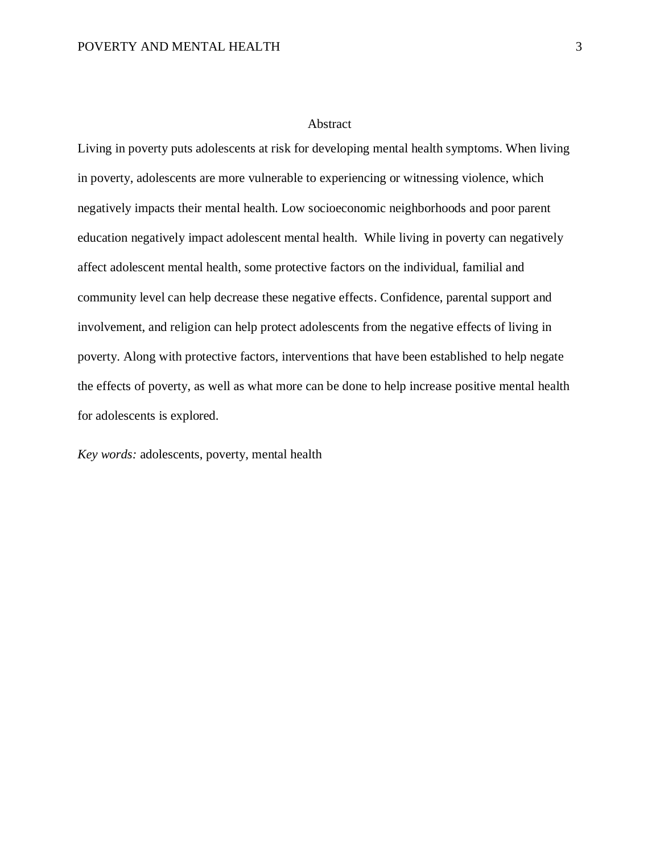#### Abstract

Living in poverty puts adolescents at risk for developing mental health symptoms. When living in poverty, adolescents are more vulnerable to experiencing or witnessing violence, which negatively impacts their mental health. Low socioeconomic neighborhoods and poor parent education negatively impact adolescent mental health. While living in poverty can negatively affect adolescent mental health, some protective factors on the individual, familial and community level can help decrease these negative effects. Confidence, parental support and involvement, and religion can help protect adolescents from the negative effects of living in poverty. Along with protective factors, interventions that have been established to help negate the effects of poverty, as well as what more can be done to help increase positive mental health for adolescents is explored.

*Key words:* adolescents, poverty, mental health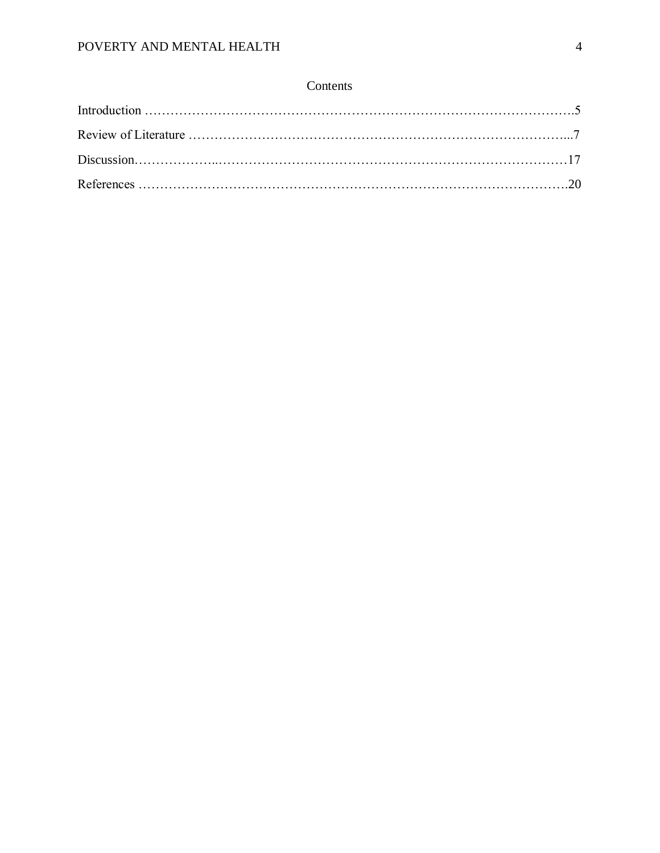## Contents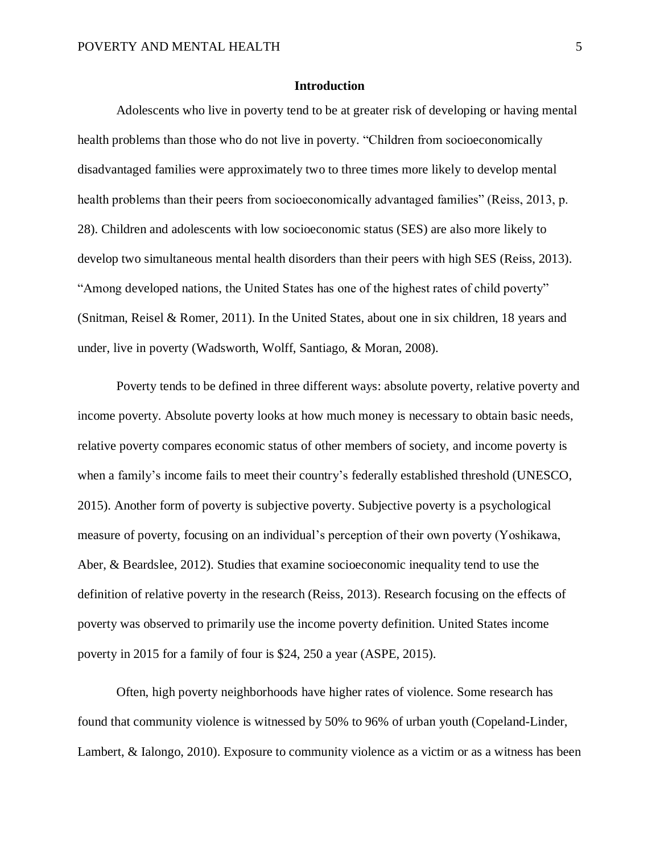#### **Introduction**

Adolescents who live in poverty tend to be at greater risk of developing or having mental health problems than those who do not live in poverty. "Children from socioeconomically disadvantaged families were approximately two to three times more likely to develop mental health problems than their peers from socioeconomically advantaged families" (Reiss, 2013, p. 28). Children and adolescents with low socioeconomic status (SES) are also more likely to develop two simultaneous mental health disorders than their peers with high SES (Reiss, 2013). "Among developed nations, the United States has one of the highest rates of child poverty" (Snitman, Reisel & Romer, 2011). In the United States, about one in six children, 18 years and under, live in poverty (Wadsworth, Wolff, Santiago, & Moran, 2008).

Poverty tends to be defined in three different ways: absolute poverty, relative poverty and income poverty. Absolute poverty looks at how much money is necessary to obtain basic needs, relative poverty compares economic status of other members of society, and income poverty is when a family's income fails to meet their country's federally established threshold (UNESCO, 2015). Another form of poverty is subjective poverty. Subjective poverty is a psychological measure of poverty, focusing on an individual's perception of their own poverty (Yoshikawa, Aber, & Beardslee, 2012). Studies that examine socioeconomic inequality tend to use the definition of relative poverty in the research (Reiss, 2013). Research focusing on the effects of poverty was observed to primarily use the income poverty definition. United States income poverty in 2015 for a family of four is \$24, 250 a year (ASPE, 2015).

Often, high poverty neighborhoods have higher rates of violence. Some research has found that community violence is witnessed by 50% to 96% of urban youth (Copeland-Linder, Lambert, & Ialongo, 2010). Exposure to community violence as a victim or as a witness has been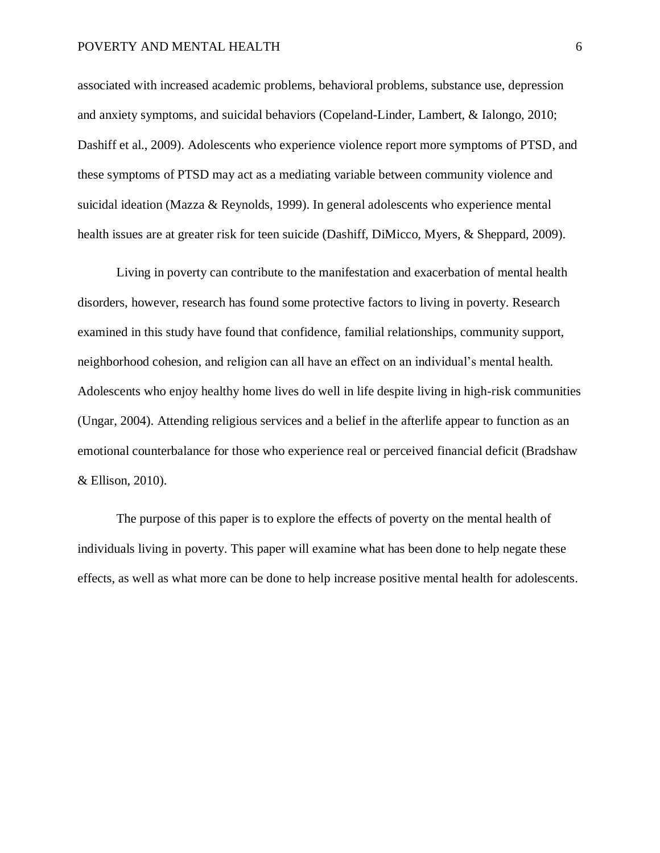#### POVERTY AND MENTAL HEALTH 6

associated with increased academic problems, behavioral problems, substance use, depression and anxiety symptoms, and suicidal behaviors (Copeland-Linder, Lambert, & Ialongo, 2010; Dashiff et al., 2009). Adolescents who experience violence report more symptoms of PTSD, and these symptoms of PTSD may act as a mediating variable between community violence and suicidal ideation (Mazza & Reynolds, 1999). In general adolescents who experience mental health issues are at greater risk for teen suicide (Dashiff, DiMicco, Myers, & Sheppard, 2009).

Living in poverty can contribute to the manifestation and exacerbation of mental health disorders, however, research has found some protective factors to living in poverty. Research examined in this study have found that confidence, familial relationships, community support, neighborhood cohesion, and religion can all have an effect on an individual's mental health. Adolescents who enjoy healthy home lives do well in life despite living in high-risk communities (Ungar, 2004). Attending religious services and a belief in the afterlife appear to function as an emotional counterbalance for those who experience real or perceived financial deficit (Bradshaw & Ellison, 2010).

The purpose of this paper is to explore the effects of poverty on the mental health of individuals living in poverty. This paper will examine what has been done to help negate these effects, as well as what more can be done to help increase positive mental health for adolescents.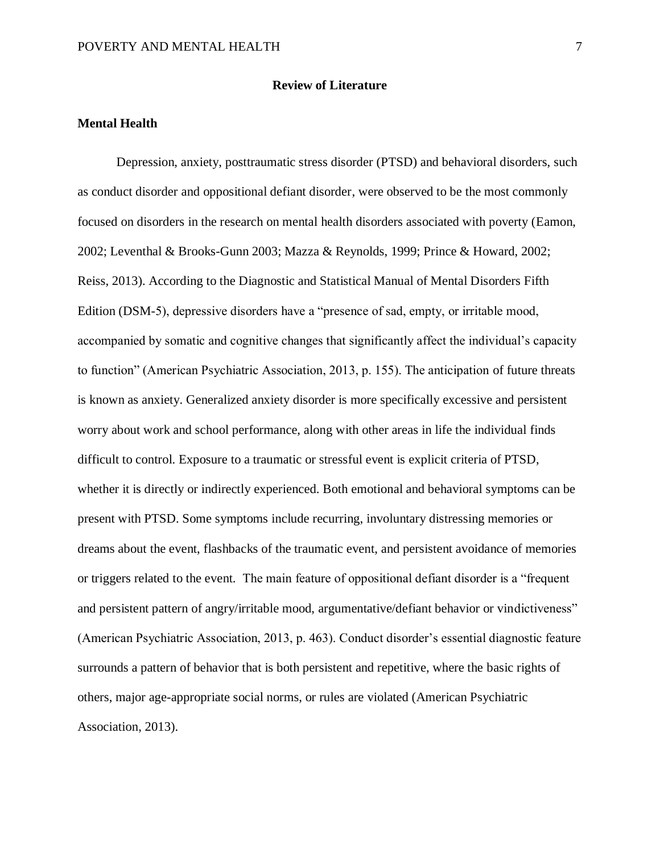#### **Review of Literature**

#### **Mental Health**

Depression, anxiety, posttraumatic stress disorder (PTSD) and behavioral disorders, such as conduct disorder and oppositional defiant disorder, were observed to be the most commonly focused on disorders in the research on mental health disorders associated with poverty (Eamon, 2002; Leventhal & Brooks-Gunn 2003; Mazza & Reynolds, 1999; Prince & Howard, 2002; Reiss, 2013). According to the Diagnostic and Statistical Manual of Mental Disorders Fifth Edition (DSM-5), depressive disorders have a "presence of sad, empty, or irritable mood, accompanied by somatic and cognitive changes that significantly affect the individual's capacity to function" (American Psychiatric Association, 2013, p. 155). The anticipation of future threats is known as anxiety. Generalized anxiety disorder is more specifically excessive and persistent worry about work and school performance, along with other areas in life the individual finds difficult to control. Exposure to a traumatic or stressful event is explicit criteria of PTSD, whether it is directly or indirectly experienced. Both emotional and behavioral symptoms can be present with PTSD. Some symptoms include recurring, involuntary distressing memories or dreams about the event, flashbacks of the traumatic event, and persistent avoidance of memories or triggers related to the event. The main feature of oppositional defiant disorder is a "frequent and persistent pattern of angry/irritable mood, argumentative/defiant behavior or vindictiveness" (American Psychiatric Association, 2013, p. 463). Conduct disorder's essential diagnostic feature surrounds a pattern of behavior that is both persistent and repetitive, where the basic rights of others, major age-appropriate social norms, or rules are violated (American Psychiatric Association, 2013).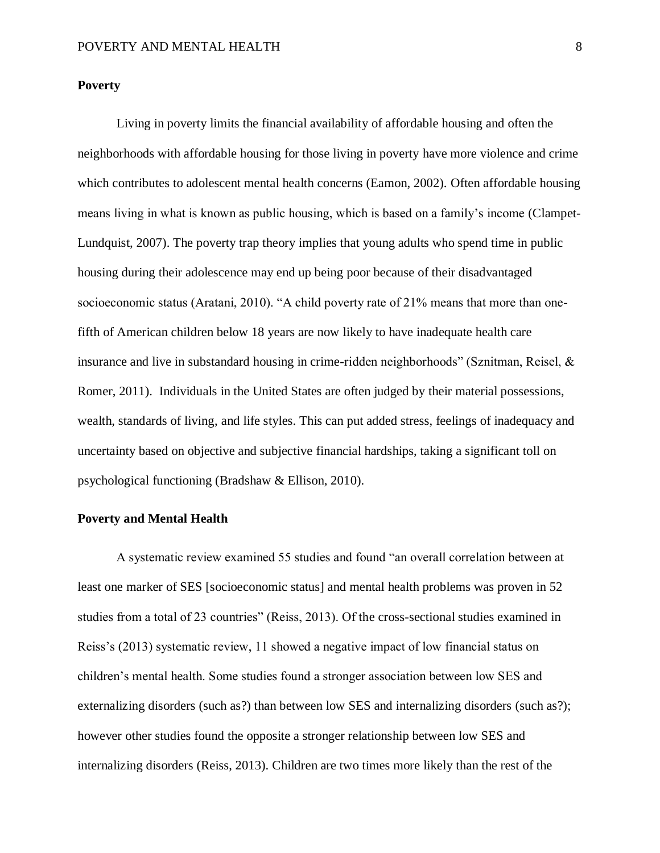#### **Poverty**

Living in poverty limits the financial availability of affordable housing and often the neighborhoods with affordable housing for those living in poverty have more violence and crime which contributes to adolescent mental health concerns (Eamon, 2002). Often affordable housing means living in what is known as public housing, which is based on a family's income (Clampet-Lundquist, 2007). The poverty trap theory implies that young adults who spend time in public housing during their adolescence may end up being poor because of their disadvantaged socioeconomic status (Aratani, 2010). "A child poverty rate of 21% means that more than onefifth of American children below 18 years are now likely to have inadequate health care insurance and live in substandard housing in crime-ridden neighborhoods" (Sznitman, Reisel, & Romer, 2011). Individuals in the United States are often judged by their material possessions, wealth, standards of living, and life styles. This can put added stress, feelings of inadequacy and uncertainty based on objective and subjective financial hardships, taking a significant toll on psychological functioning (Bradshaw & Ellison, 2010).

#### **Poverty and Mental Health**

A systematic review examined 55 studies and found "an overall correlation between at least one marker of SES [socioeconomic status] and mental health problems was proven in 52 studies from a total of 23 countries" (Reiss, 2013). Of the cross-sectional studies examined in Reiss's (2013) systematic review, 11 showed a negative impact of low financial status on children's mental health. Some studies found a stronger association between low SES and externalizing disorders (such as?) than between low SES and internalizing disorders (such as?); however other studies found the opposite a stronger relationship between low SES and internalizing disorders (Reiss, 2013). Children are two times more likely than the rest of the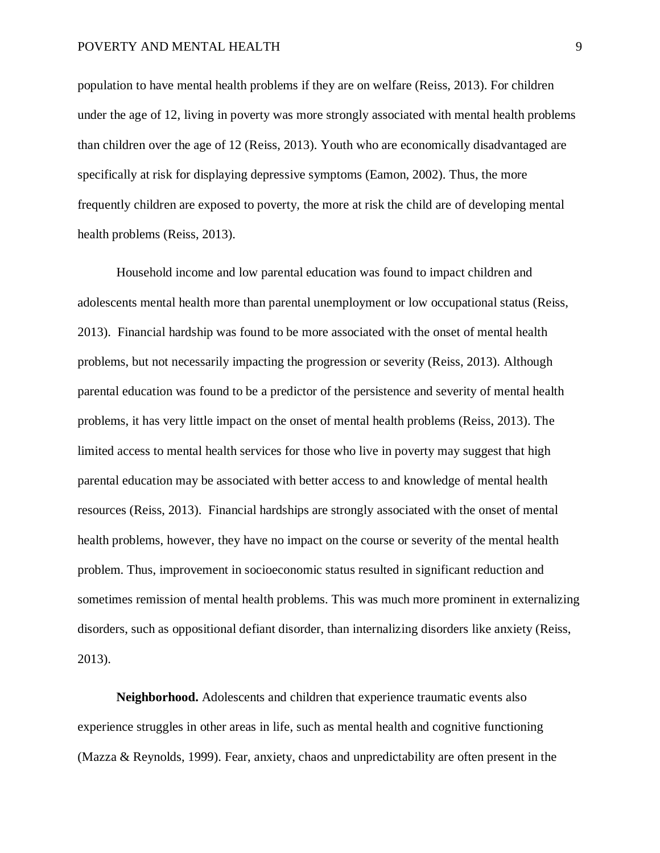#### POVERTY AND MENTAL HEALTH 9

population to have mental health problems if they are on welfare (Reiss, 2013). For children under the age of 12, living in poverty was more strongly associated with mental health problems than children over the age of 12 (Reiss, 2013). Youth who are economically disadvantaged are specifically at risk for displaying depressive symptoms (Eamon, 2002). Thus, the more frequently children are exposed to poverty, the more at risk the child are of developing mental health problems (Reiss, 2013).

Household income and low parental education was found to impact children and adolescents mental health more than parental unemployment or low occupational status (Reiss, 2013). Financial hardship was found to be more associated with the onset of mental health problems, but not necessarily impacting the progression or severity (Reiss, 2013). Although parental education was found to be a predictor of the persistence and severity of mental health problems, it has very little impact on the onset of mental health problems (Reiss, 2013). The limited access to mental health services for those who live in poverty may suggest that high parental education may be associated with better access to and knowledge of mental health resources (Reiss, 2013). Financial hardships are strongly associated with the onset of mental health problems, however, they have no impact on the course or severity of the mental health problem. Thus, improvement in socioeconomic status resulted in significant reduction and sometimes remission of mental health problems. This was much more prominent in externalizing disorders, such as oppositional defiant disorder, than internalizing disorders like anxiety (Reiss, 2013).

**Neighborhood.** Adolescents and children that experience traumatic events also experience struggles in other areas in life, such as mental health and cognitive functioning (Mazza & Reynolds, 1999). Fear, anxiety, chaos and unpredictability are often present in the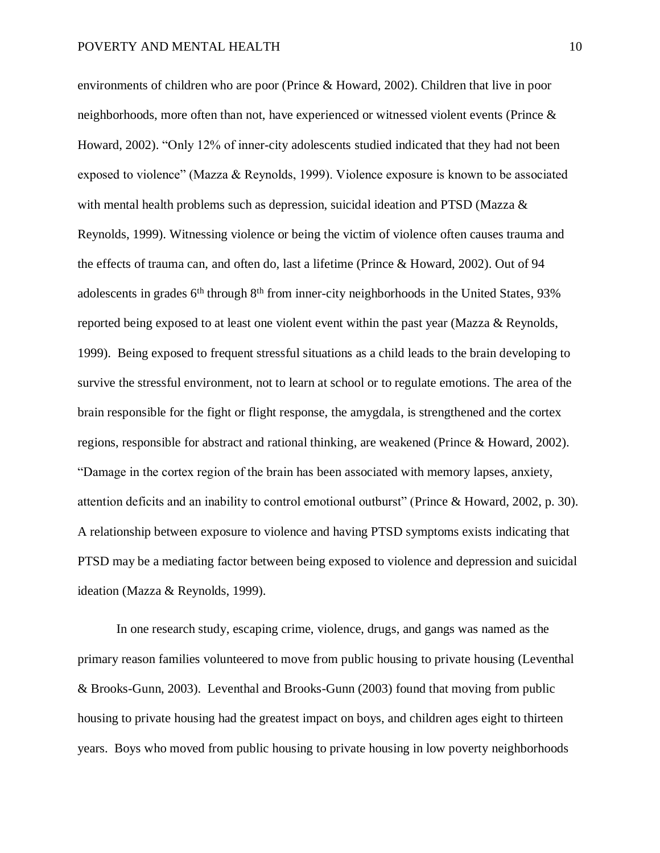environments of children who are poor (Prince & Howard, 2002). Children that live in poor neighborhoods, more often than not, have experienced or witnessed violent events (Prince & Howard, 2002). "Only 12% of inner-city adolescents studied indicated that they had not been exposed to violence" (Mazza & Reynolds, 1999). Violence exposure is known to be associated with mental health problems such as depression, suicidal ideation and PTSD (Mazza & Reynolds, 1999). Witnessing violence or being the victim of violence often causes trauma and the effects of trauma can, and often do, last a lifetime (Prince & Howard, 2002). Out of 94 adolescents in grades 6<sup>th</sup> through 8<sup>th</sup> from inner-city neighborhoods in the United States, 93% reported being exposed to at least one violent event within the past year (Mazza & Reynolds, 1999). Being exposed to frequent stressful situations as a child leads to the brain developing to survive the stressful environment, not to learn at school or to regulate emotions. The area of the brain responsible for the fight or flight response, the amygdala, is strengthened and the cortex regions, responsible for abstract and rational thinking, are weakened (Prince & Howard, 2002). "Damage in the cortex region of the brain has been associated with memory lapses, anxiety, attention deficits and an inability to control emotional outburst" (Prince & Howard, 2002, p. 30). A relationship between exposure to violence and having PTSD symptoms exists indicating that PTSD may be a mediating factor between being exposed to violence and depression and suicidal ideation (Mazza & Reynolds, 1999).

In one research study, escaping crime, violence, drugs, and gangs was named as the primary reason families volunteered to move from public housing to private housing (Leventhal & Brooks-Gunn, 2003). Leventhal and Brooks-Gunn (2003) found that moving from public housing to private housing had the greatest impact on boys, and children ages eight to thirteen years. Boys who moved from public housing to private housing in low poverty neighborhoods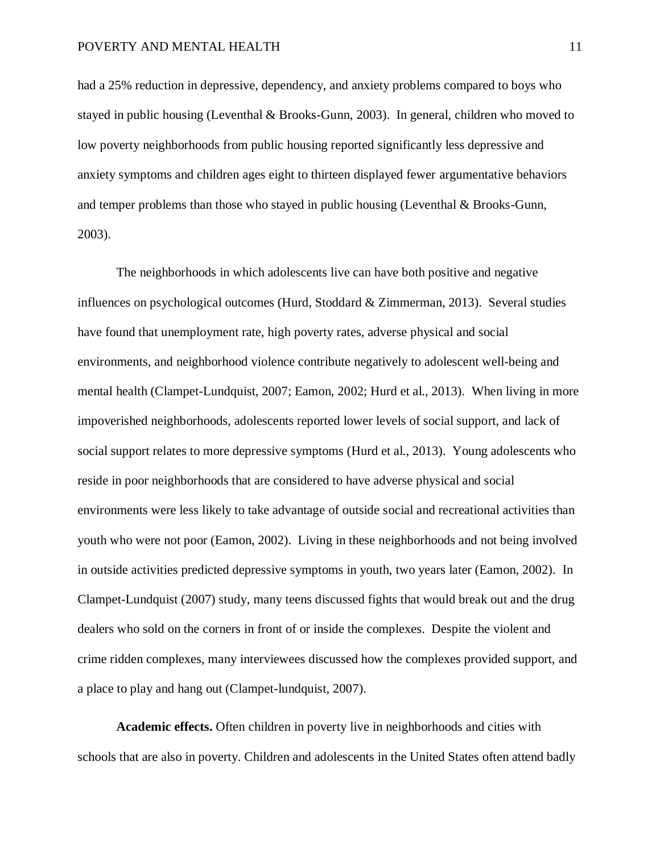had a 25% reduction in depressive, dependency, and anxiety problems compared to boys who stayed in public housing (Leventhal & Brooks-Gunn, 2003). In general, children who moved to low poverty neighborhoods from public housing reported significantly less depressive and anxiety symptoms and children ages eight to thirteen displayed fewer argumentative behaviors and temper problems than those who stayed in public housing (Leventhal & Brooks-Gunn, 2003).

The neighborhoods in which adolescents live can have both positive and negative influences on psychological outcomes (Hurd, Stoddard & Zimmerman, 2013). Several studies have found that unemployment rate, high poverty rates, adverse physical and social environments, and neighborhood violence contribute negatively to adolescent well-being and mental health (Clampet-Lundquist, 2007; Eamon, 2002; Hurd et al., 2013). When living in more impoverished neighborhoods, adolescents reported lower levels of social support, and lack of social support relates to more depressive symptoms (Hurd et al., 2013). Young adolescents who reside in poor neighborhoods that are considered to have adverse physical and social environments were less likely to take advantage of outside social and recreational activities than youth who were not poor (Eamon, 2002). Living in these neighborhoods and not being involved in outside activities predicted depressive symptoms in youth, two years later (Eamon, 2002). In Clampet-Lundquist (2007) study, many teens discussed fights that would break out and the drug dealers who sold on the corners in front of or inside the complexes. Despite the violent and crime ridden complexes, many interviewees discussed how the complexes provided support, and a place to play and hang out (Clampet-lundquist, 2007).

**Academic effects.** Often children in poverty live in neighborhoods and cities with schools that are also in poverty. Children and adolescents in the United States often attend badly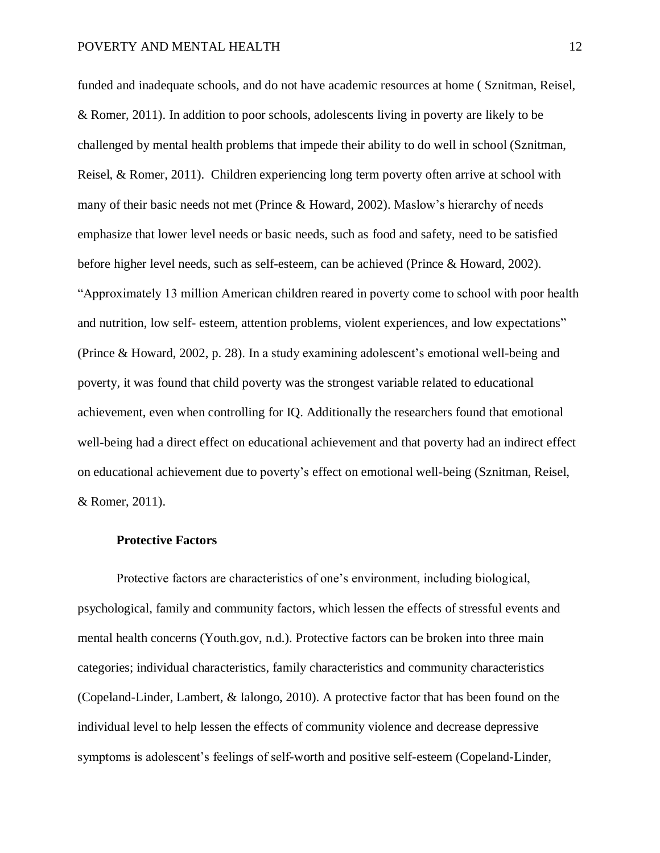funded and inadequate schools, and do not have academic resources at home ( Sznitman, Reisel, & Romer, 2011). In addition to poor schools, adolescents living in poverty are likely to be challenged by mental health problems that impede their ability to do well in school (Sznitman, Reisel, & Romer, 2011). Children experiencing long term poverty often arrive at school with many of their basic needs not met (Prince & Howard, 2002). Maslow's hierarchy of needs emphasize that lower level needs or basic needs, such as food and safety, need to be satisfied before higher level needs, such as self-esteem, can be achieved (Prince & Howard, 2002). "Approximately 13 million American children reared in poverty come to school with poor health and nutrition, low self- esteem, attention problems, violent experiences, and low expectations" (Prince & Howard, 2002, p. 28). In a study examining adolescent's emotional well-being and poverty, it was found that child poverty was the strongest variable related to educational achievement, even when controlling for IQ. Additionally the researchers found that emotional well-being had a direct effect on educational achievement and that poverty had an indirect effect on educational achievement due to poverty's effect on emotional well-being (Sznitman, Reisel, & Romer, 2011).

#### **Protective Factors**

Protective factors are characteristics of one's environment, including biological, psychological, family and community factors, which lessen the effects of stressful events and mental health concerns (Youth.gov, n.d.). Protective factors can be broken into three main categories; individual characteristics, family characteristics and community characteristics (Copeland-Linder, Lambert, & Ialongo, 2010). A protective factor that has been found on the individual level to help lessen the effects of community violence and decrease depressive symptoms is adolescent's feelings of self-worth and positive self-esteem (Copeland-Linder,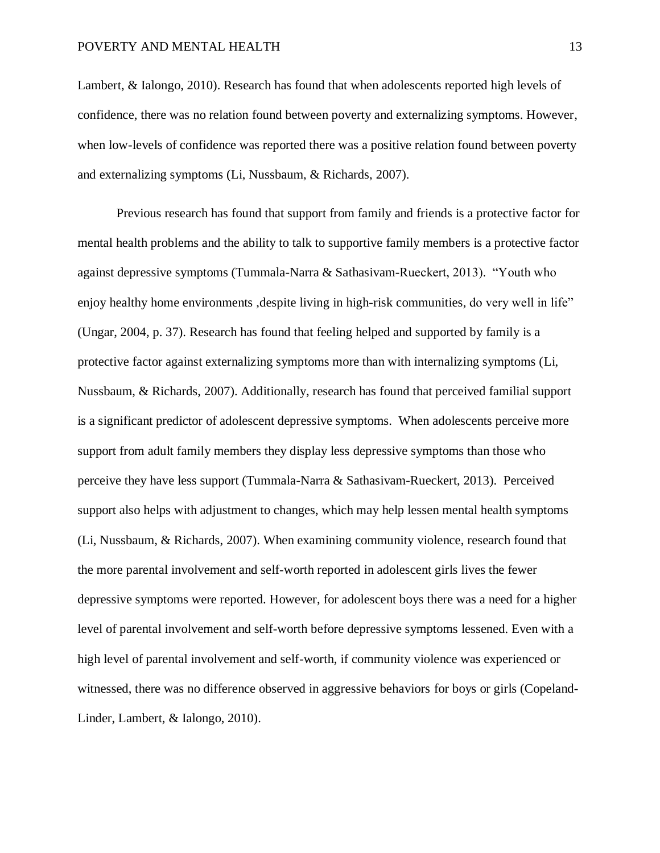#### POVERTY AND MENTAL HEALTH 13

Lambert, & Ialongo, 2010). Research has found that when adolescents reported high levels of confidence, there was no relation found between poverty and externalizing symptoms. However, when low-levels of confidence was reported there was a positive relation found between poverty and externalizing symptoms (Li, Nussbaum, & Richards, 2007).

Previous research has found that support from family and friends is a protective factor for mental health problems and the ability to talk to supportive family members is a protective factor against depressive symptoms (Tummala-Narra & Sathasivam-Rueckert, 2013). "Youth who enjoy healthy home environments , despite living in high-risk communities, do very well in life" (Ungar, 2004, p. 37). Research has found that feeling helped and supported by family is a protective factor against externalizing symptoms more than with internalizing symptoms (Li, Nussbaum, & Richards, 2007). Additionally, research has found that perceived familial support is a significant predictor of adolescent depressive symptoms. When adolescents perceive more support from adult family members they display less depressive symptoms than those who perceive they have less support (Tummala-Narra & Sathasivam-Rueckert, 2013). Perceived support also helps with adjustment to changes, which may help lessen mental health symptoms (Li, Nussbaum, & Richards, 2007). When examining community violence, research found that the more parental involvement and self-worth reported in adolescent girls lives the fewer depressive symptoms were reported. However, for adolescent boys there was a need for a higher level of parental involvement and self-worth before depressive symptoms lessened. Even with a high level of parental involvement and self-worth, if community violence was experienced or witnessed, there was no difference observed in aggressive behaviors for boys or girls (Copeland-Linder, Lambert, & Ialongo, 2010).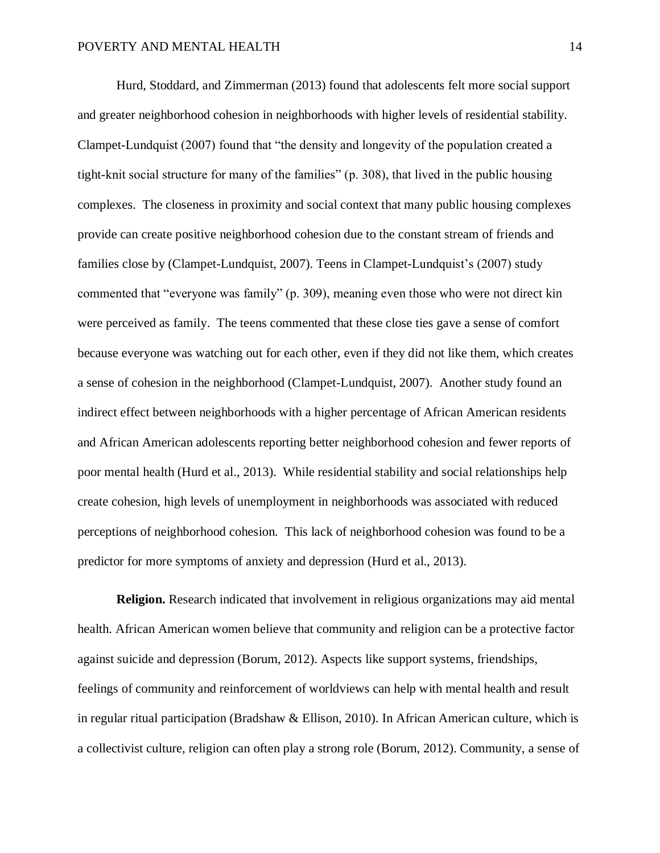Hurd, Stoddard, and Zimmerman (2013) found that adolescents felt more social support and greater neighborhood cohesion in neighborhoods with higher levels of residential stability. Clampet-Lundquist (2007) found that "the density and longevity of the population created a tight-knit social structure for many of the families" (p. 308), that lived in the public housing complexes. The closeness in proximity and social context that many public housing complexes provide can create positive neighborhood cohesion due to the constant stream of friends and families close by (Clampet-Lundquist, 2007). Teens in Clampet-Lundquist's (2007) study commented that "everyone was family" (p. 309), meaning even those who were not direct kin were perceived as family. The teens commented that these close ties gave a sense of comfort because everyone was watching out for each other, even if they did not like them, which creates a sense of cohesion in the neighborhood (Clampet-Lundquist, 2007). Another study found an indirect effect between neighborhoods with a higher percentage of African American residents and African American adolescents reporting better neighborhood cohesion and fewer reports of poor mental health (Hurd et al., 2013). While residential stability and social relationships help create cohesion, high levels of unemployment in neighborhoods was associated with reduced perceptions of neighborhood cohesion. This lack of neighborhood cohesion was found to be a predictor for more symptoms of anxiety and depression (Hurd et al., 2013).

**Religion.** Research indicated that involvement in religious organizations may aid mental health. African American women believe that community and religion can be a protective factor against suicide and depression (Borum, 2012). Aspects like support systems, friendships, feelings of community and reinforcement of worldviews can help with mental health and result in regular ritual participation (Bradshaw & Ellison, 2010). In African American culture, which is a collectivist culture, religion can often play a strong role (Borum, 2012). Community, a sense of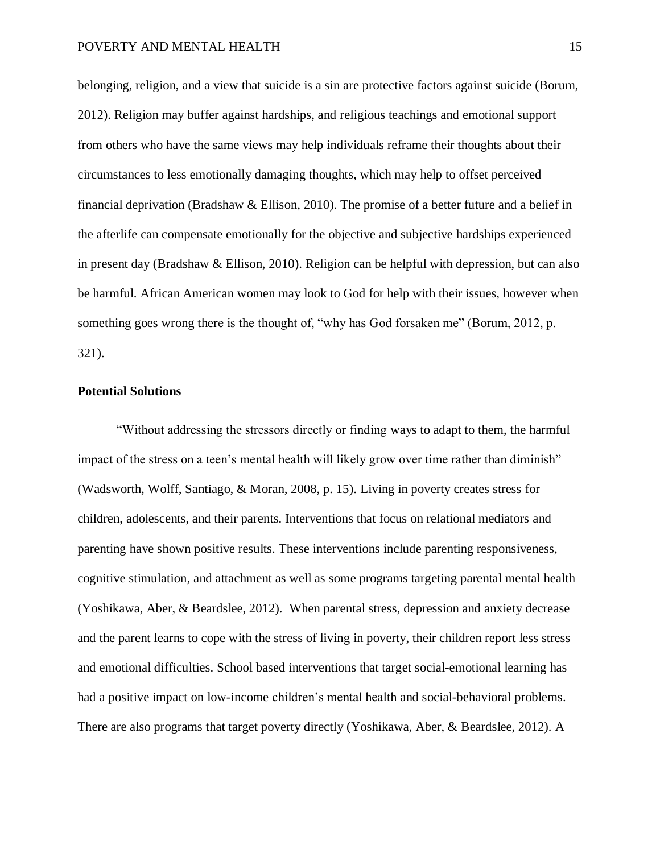belonging, religion, and a view that suicide is a sin are protective factors against suicide (Borum, 2012). Religion may buffer against hardships, and religious teachings and emotional support from others who have the same views may help individuals reframe their thoughts about their circumstances to less emotionally damaging thoughts, which may help to offset perceived financial deprivation (Bradshaw & Ellison, 2010). The promise of a better future and a belief in the afterlife can compensate emotionally for the objective and subjective hardships experienced in present day (Bradshaw & Ellison, 2010). Religion can be helpful with depression, but can also be harmful. African American women may look to God for help with their issues, however when something goes wrong there is the thought of, "why has God forsaken me" (Borum, 2012, p. 321).

#### **Potential Solutions**

"Without addressing the stressors directly or finding ways to adapt to them, the harmful impact of the stress on a teen's mental health will likely grow over time rather than diminish" (Wadsworth, Wolff, Santiago, & Moran, 2008, p. 15). Living in poverty creates stress for children, adolescents, and their parents. Interventions that focus on relational mediators and parenting have shown positive results. These interventions include parenting responsiveness, cognitive stimulation, and attachment as well as some programs targeting parental mental health (Yoshikawa, Aber, & Beardslee, 2012). When parental stress, depression and anxiety decrease and the parent learns to cope with the stress of living in poverty, their children report less stress and emotional difficulties. School based interventions that target social-emotional learning has had a positive impact on low-income children's mental health and social-behavioral problems. There are also programs that target poverty directly (Yoshikawa, Aber, & Beardslee, 2012). A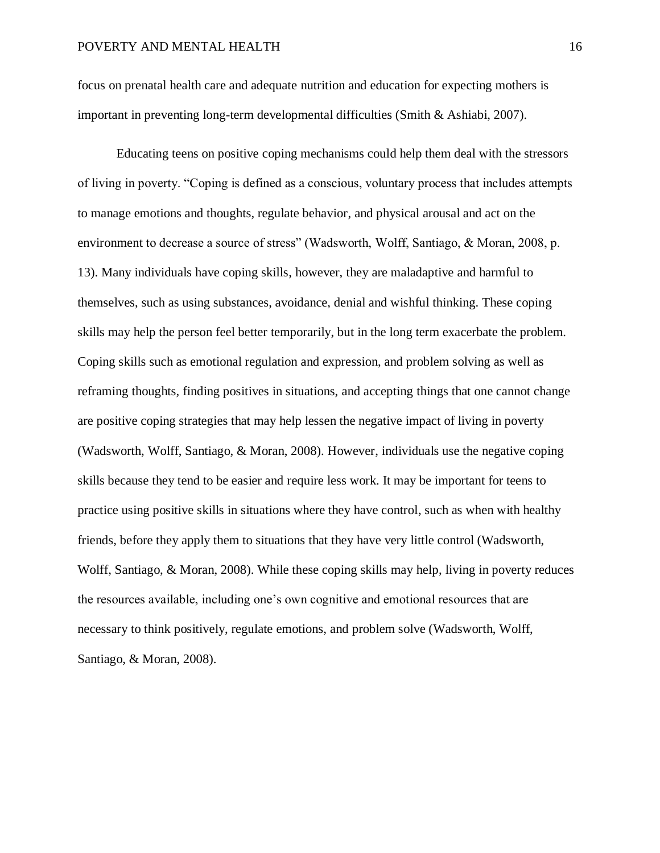focus on prenatal health care and adequate nutrition and education for expecting mothers is important in preventing long-term developmental difficulties (Smith & Ashiabi, 2007).

Educating teens on positive coping mechanisms could help them deal with the stressors of living in poverty. "Coping is defined as a conscious, voluntary process that includes attempts to manage emotions and thoughts, regulate behavior, and physical arousal and act on the environment to decrease a source of stress" (Wadsworth, Wolff, Santiago, & Moran, 2008, p. 13). Many individuals have coping skills, however, they are maladaptive and harmful to themselves, such as using substances, avoidance, denial and wishful thinking. These coping skills may help the person feel better temporarily, but in the long term exacerbate the problem. Coping skills such as emotional regulation and expression, and problem solving as well as reframing thoughts, finding positives in situations, and accepting things that one cannot change are positive coping strategies that may help lessen the negative impact of living in poverty (Wadsworth, Wolff, Santiago, & Moran, 2008). However, individuals use the negative coping skills because they tend to be easier and require less work. It may be important for teens to practice using positive skills in situations where they have control, such as when with healthy friends, before they apply them to situations that they have very little control (Wadsworth, Wolff, Santiago, & Moran, 2008). While these coping skills may help, living in poverty reduces the resources available, including one's own cognitive and emotional resources that are necessary to think positively, regulate emotions, and problem solve (Wadsworth, Wolff, Santiago, & Moran, 2008).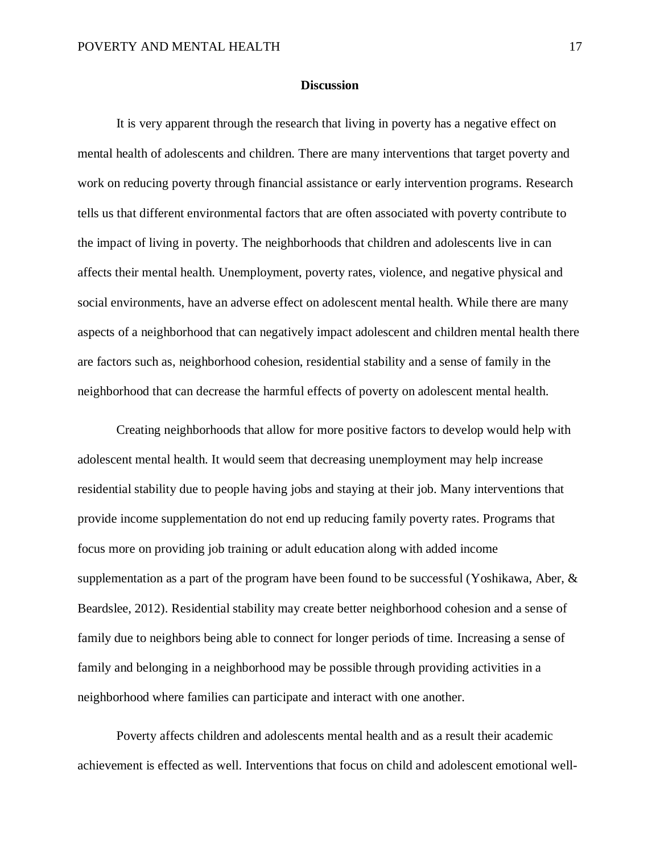#### **Discussion**

It is very apparent through the research that living in poverty has a negative effect on mental health of adolescents and children. There are many interventions that target poverty and work on reducing poverty through financial assistance or early intervention programs. Research tells us that different environmental factors that are often associated with poverty contribute to the impact of living in poverty. The neighborhoods that children and adolescents live in can affects their mental health. Unemployment, poverty rates, violence, and negative physical and social environments, have an adverse effect on adolescent mental health. While there are many aspects of a neighborhood that can negatively impact adolescent and children mental health there are factors such as, neighborhood cohesion, residential stability and a sense of family in the neighborhood that can decrease the harmful effects of poverty on adolescent mental health.

Creating neighborhoods that allow for more positive factors to develop would help with adolescent mental health. It would seem that decreasing unemployment may help increase residential stability due to people having jobs and staying at their job. Many interventions that provide income supplementation do not end up reducing family poverty rates. Programs that focus more on providing job training or adult education along with added income supplementation as a part of the program have been found to be successful (Yoshikawa, Aber, & Beardslee, 2012). Residential stability may create better neighborhood cohesion and a sense of family due to neighbors being able to connect for longer periods of time. Increasing a sense of family and belonging in a neighborhood may be possible through providing activities in a neighborhood where families can participate and interact with one another.

Poverty affects children and adolescents mental health and as a result their academic achievement is effected as well. Interventions that focus on child and adolescent emotional well-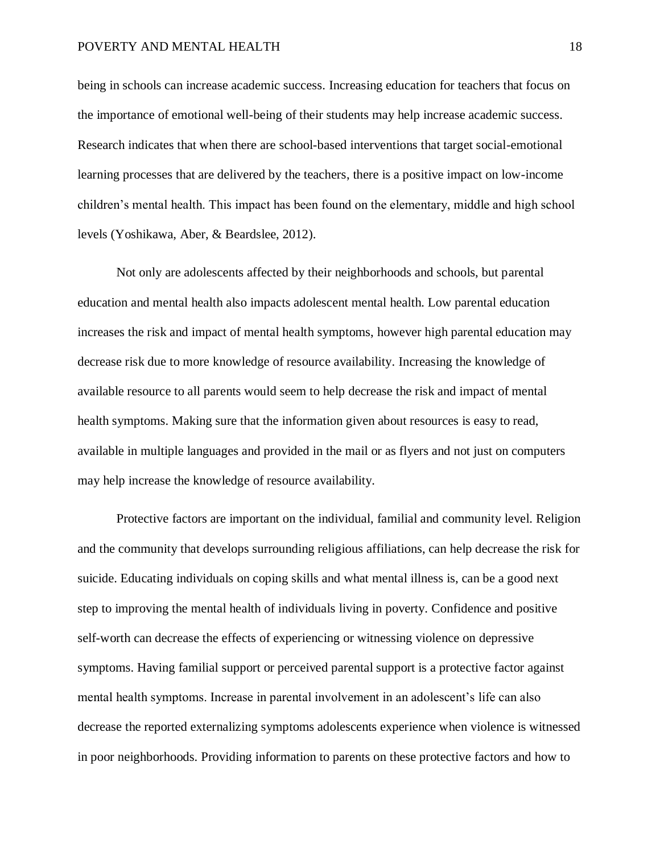#### POVERTY AND MENTAL HEALTH 18

being in schools can increase academic success. Increasing education for teachers that focus on the importance of emotional well-being of their students may help increase academic success. Research indicates that when there are school-based interventions that target social-emotional learning processes that are delivered by the teachers, there is a positive impact on low-income children's mental health. This impact has been found on the elementary, middle and high school levels (Yoshikawa, Aber, & Beardslee, 2012).

Not only are adolescents affected by their neighborhoods and schools, but parental education and mental health also impacts adolescent mental health. Low parental education increases the risk and impact of mental health symptoms, however high parental education may decrease risk due to more knowledge of resource availability. Increasing the knowledge of available resource to all parents would seem to help decrease the risk and impact of mental health symptoms. Making sure that the information given about resources is easy to read, available in multiple languages and provided in the mail or as flyers and not just on computers may help increase the knowledge of resource availability.

Protective factors are important on the individual, familial and community level. Religion and the community that develops surrounding religious affiliations, can help decrease the risk for suicide. Educating individuals on coping skills and what mental illness is, can be a good next step to improving the mental health of individuals living in poverty. Confidence and positive self-worth can decrease the effects of experiencing or witnessing violence on depressive symptoms. Having familial support or perceived parental support is a protective factor against mental health symptoms. Increase in parental involvement in an adolescent's life can also decrease the reported externalizing symptoms adolescents experience when violence is witnessed in poor neighborhoods. Providing information to parents on these protective factors and how to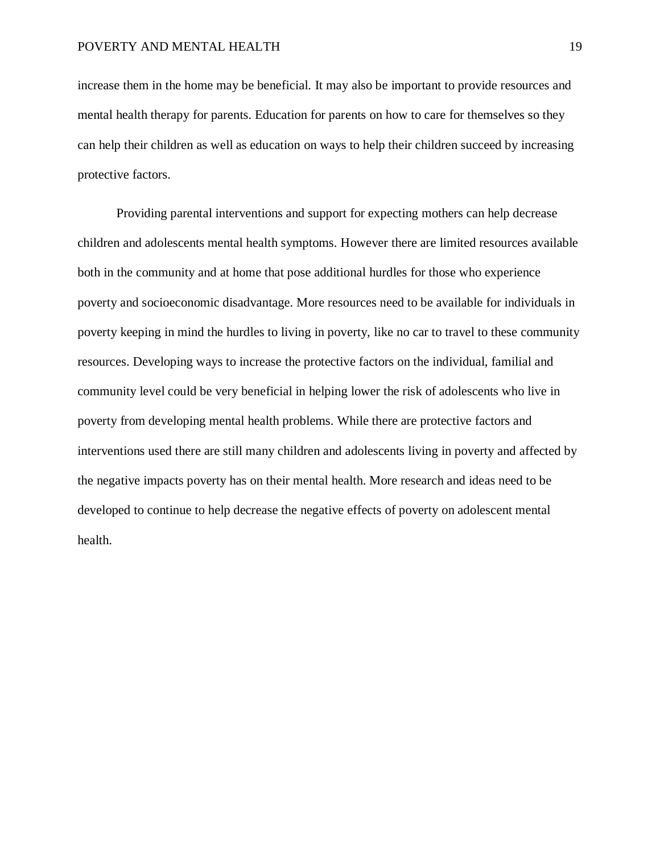increase them in the home may be beneficial. It may also be important to provide resources and mental health therapy for parents. Education for parents on how to care for themselves so they can help their children as well as education on ways to help their children succeed by increasing protective factors.

Providing parental interventions and support for expecting mothers can help decrease children and adolescents mental health symptoms. However there are limited resources available both in the community and at home that pose additional hurdles for those who experience poverty and socioeconomic disadvantage. More resources need to be available for individuals in poverty keeping in mind the hurdles to living in poverty, like no car to travel to these community resources. Developing ways to increase the protective factors on the individual, familial and community level could be very beneficial in helping lower the risk of adolescents who live in poverty from developing mental health problems. While there are protective factors and interventions used there are still many children and adolescents living in poverty and affected by the negative impacts poverty has on their mental health. More research and ideas need to be developed to continue to help decrease the negative effects of poverty on adolescent mental health.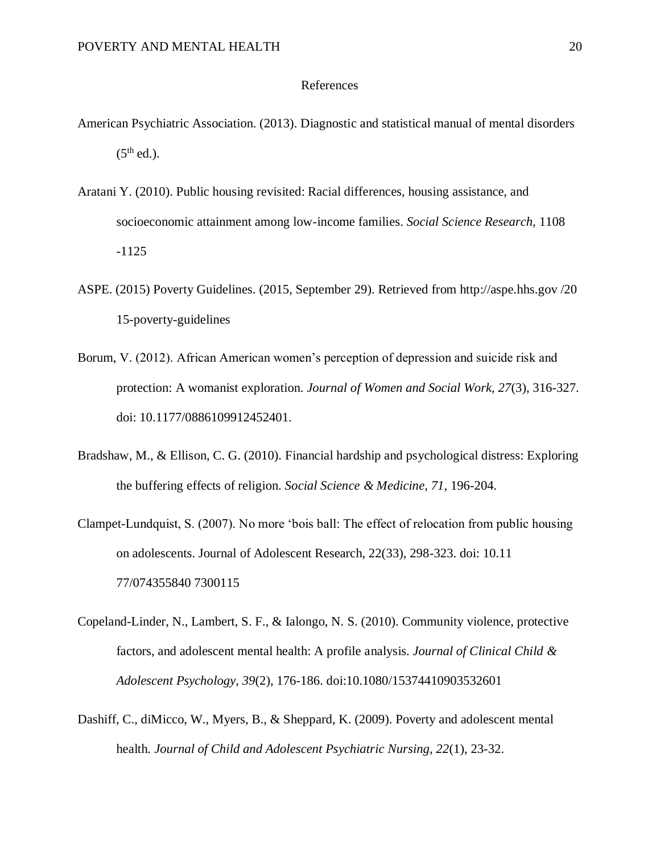#### References

- American Psychiatric Association. (2013). Diagnostic and statistical manual of mental disorders  $(5<sup>th</sup>$  ed.).
- Aratani Y. (2010). Public housing revisited: Racial differences, housing assistance, and socioeconomic attainment among low-income families. *Social Science Research,* 1108 -1125
- ASPE. (2015) Poverty Guidelines. (2015, September 29). Retrieved from http://aspe.hhs.gov /20 15-poverty-guidelines
- Borum, V. (2012). African American women's perception of depression and suicide risk and protection: A womanist exploration. *Journal of Women and Social Work, 27*(3), 316-327. doi: 10.1177/0886109912452401.
- Bradshaw, M., & Ellison, C. G. (2010). Financial hardship and psychological distress: Exploring the buffering effects of religion. *Social Science & Medicine, 71,* 196-204.
- Clampet-Lundquist, S. (2007). No more 'bois ball: The effect of relocation from public housing on adolescents. Journal of Adolescent Research, 22(33), 298-323. doi: 10.11 77/074355840 7300115
- Copeland-Linder, N., Lambert, S. F., & Ialongo, N. S. (2010). Community violence, protective factors, and adolescent mental health: A profile analysis. *Journal of Clinical Child & Adolescent Psychology*, *39*(2), 176-186. doi:10.1080/15374410903532601
- Dashiff, C., diMicco, W., Myers, B., & Sheppard, K. (2009). Poverty and adolescent mental health. *Journal of Child and Adolescent Psychiatric Nursing, 22*(1), 23-32.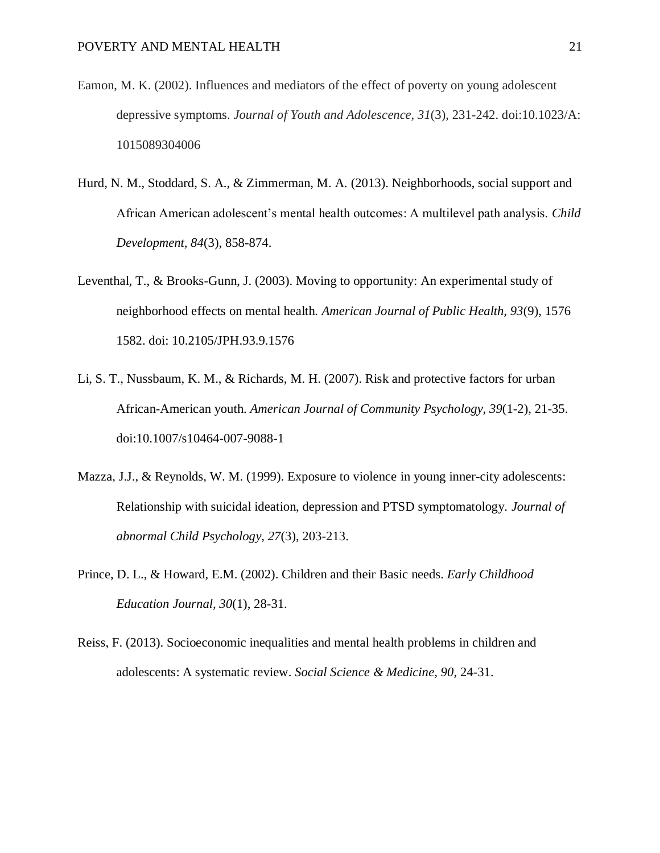- Eamon, M. K. (2002). Influences and mediators of the effect of poverty on young adolescent depressive symptoms. *Journal of Youth and Adolescence, 31*(3), 231-242. doi:10.1023/A: 1015089304006
- Hurd, N. M., Stoddard, S. A., & Zimmerman, M. A. (2013). Neighborhoods, social support and African American adolescent's mental health outcomes: A multilevel path analysis. *Child Development, 84*(3), 858-874.
- Leventhal, T., & Brooks-Gunn, J. (2003). Moving to opportunity: An experimental study of neighborhood effects on mental health. *American Journal of Public Health, 93*(9), 1576 1582. doi: 10.2105/JPH.93.9.1576
- Li, S. T., Nussbaum, K. M., & Richards, M. H. (2007). Risk and protective factors for urban African-American youth. *American Journal of Community Psychology, 39*(1-2), 21-35. doi:10.1007/s10464-007-9088-1
- Mazza, J.J., & Reynolds, W. M. (1999). Exposure to violence in young inner-city adolescents: Relationship with suicidal ideation, depression and PTSD symptomatology. *Journal of abnormal Child Psychology, 27*(3), 203-213.
- Prince, D. L., & Howard, E.M. (2002). Children and their Basic needs. *Early Childhood Education Journal, 30*(1), 28-31.
- Reiss, F. (2013). Socioeconomic inequalities and mental health problems in children and adolescents: A systematic review. *Social Science & Medicine, 90*, 24-31.